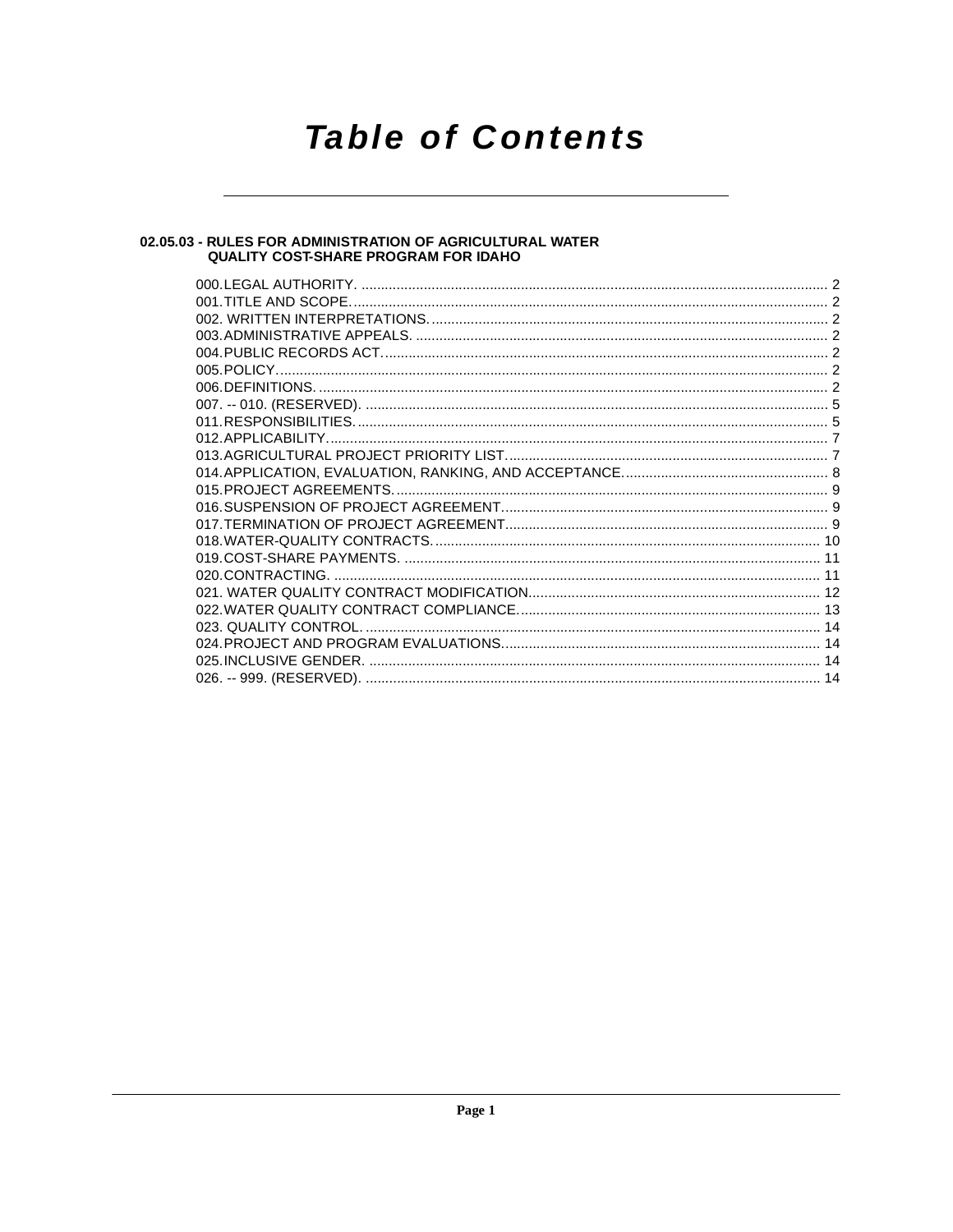## **Table of Contents**

## 02.05.03 - RULES FOR ADMINISTRATION OF AGRICULTURAL WATER<br>QUALITY COST-SHARE PROGRAM FOR IDAHO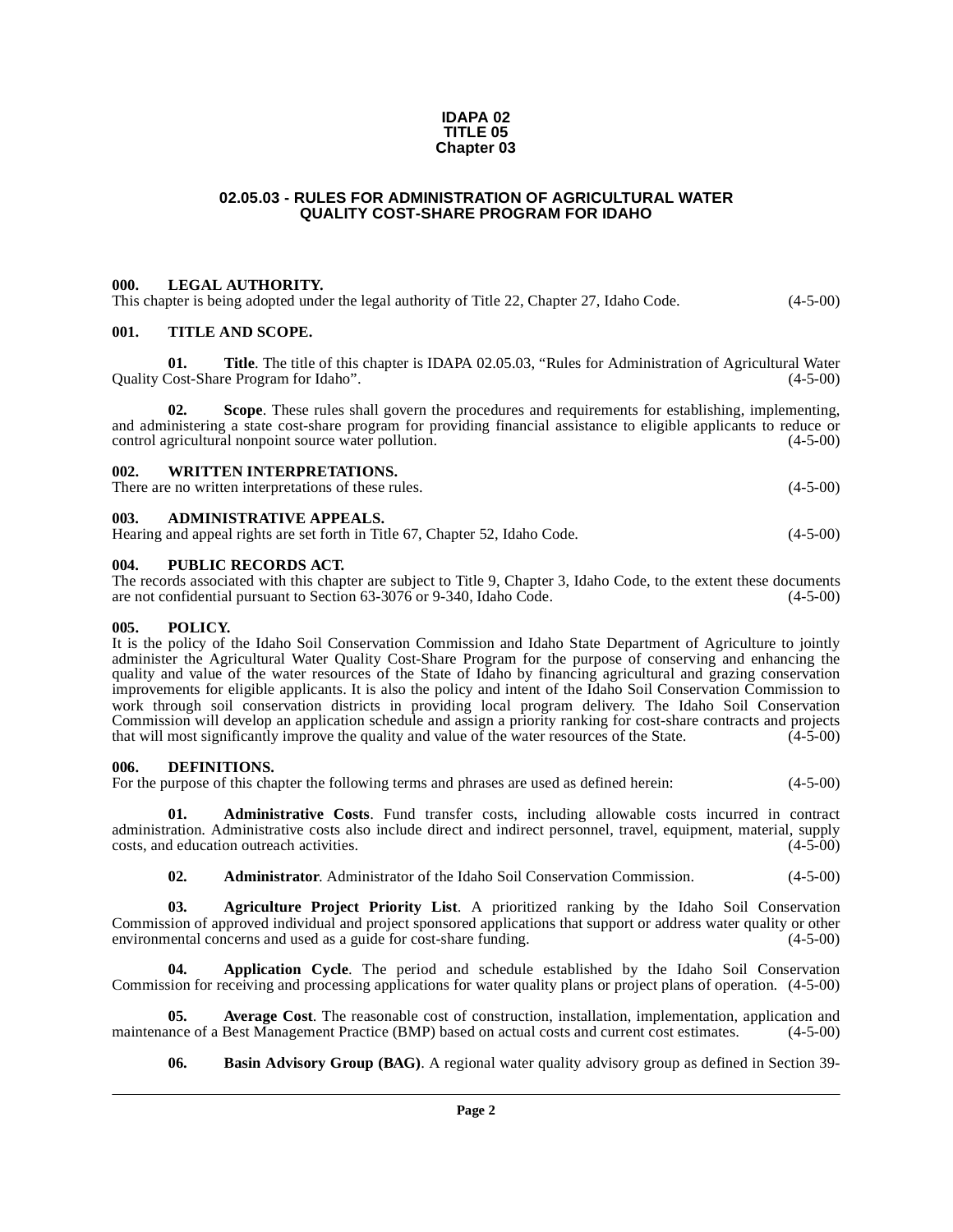### **IDAPA 02 TITLE 05 Chapter 03**

### **02.05.03 - RULES FOR ADMINISTRATION OF AGRICULTURAL WATER QUALITY COST-SHARE PROGRAM FOR IDAHO**

### <span id="page-1-1"></span><span id="page-1-0"></span>**000. LEGAL AUTHORITY.**

This chapter is being adopted under the legal authority of Title 22, Chapter 27, Idaho Code.  $(4-5-00)$ 

### <span id="page-1-2"></span>**001. TITLE AND SCOPE.**

**01.** Title. The title of this chapter is IDAPA 02.05.03, "Rules for Administration of Agricultural Water Cost-Share Program for Idaho". (4-5-00) Quality Cost-Share Program for Idaho".

**02. Scope**. These rules shall govern the procedures and requirements for establishing, implementing, and administering a state cost-share program for providing financial assistance to eligible applicants to reduce or control agricultural nonpoint source water pollution. (4-5-00)

### <span id="page-1-3"></span>**002. WRITTEN INTERPRETATIONS.**

There are no written interpretations of these rules. (4-5-00)

### <span id="page-1-4"></span>**003. ADMINISTRATIVE APPEALS.**

| Hearing and appeal rights are set forth in Title 67, Chapter 52, Idaho Code. | $(4-5-00)$ |
|------------------------------------------------------------------------------|------------|
|------------------------------------------------------------------------------|------------|

### <span id="page-1-5"></span>**004. PUBLIC RECORDS ACT.**

The records associated with this chapter are subject to Title 9, Chapter 3, Idaho Code, to the extent these documents are not confidential pursuant to Section 63-3076 or 9-340, Idaho Code. (4-5-00)

### <span id="page-1-6"></span>**005. POLICY.**

It is the policy of the Idaho Soil Conservation Commission and Idaho State Department of Agriculture to jointly administer the Agricultural Water Quality Cost-Share Program for the purpose of conserving and enhancing the quality and value of the water resources of the State of Idaho by financing agricultural and grazing conservation improvements for eligible applicants. It is also the policy and intent of the Idaho Soil Conservation Commission to work through soil conservation districts in providing local program delivery. The Idaho Soil Conservation Commission will develop an application schedule and assign a priority ranking for cost-share contracts and projects that will most significantly improve the quality and value of the water resources of the State.  $(4-5-00)$ 

### <span id="page-1-11"></span><span id="page-1-7"></span>**006. DEFINITIONS.**

For the purpose of this chapter the following terms and phrases are used as defined herein:  $(4-5-00)$ 

**01. Administrative Costs**. Fund transfer costs, including allowable costs incurred in contract administration. Administrative costs also include direct and indirect personnel, travel, equipment, material, supply costs, and education outreach activities. (4-5-00) costs, and education outreach activities.

<span id="page-1-9"></span><span id="page-1-8"></span>**02. Administrator**. Administrator of the Idaho Soil Conservation Commission. (4-5-00)

**03. Agriculture Project Priority List**. A prioritized ranking by the Idaho Soil Conservation Commission of approved individual and project sponsored applications that support or address water quality or other environmental concerns and used as a guide for cost-share funding.

**04. Application Cycle**. The period and schedule established by the Idaho Soil Conservation Commission for receiving and processing applications for water quality plans or project plans of operation. (4-5-00)

**05. Average Cost**. The reasonable cost of construction, installation, implementation, application and maintenance of a Best Management Practice (BMP) based on actual costs and current cost estimates. (4-5-00)

<span id="page-1-10"></span>**06. Basin Advisory Group (BAG)**. A regional water quality advisory group as defined in Section 39-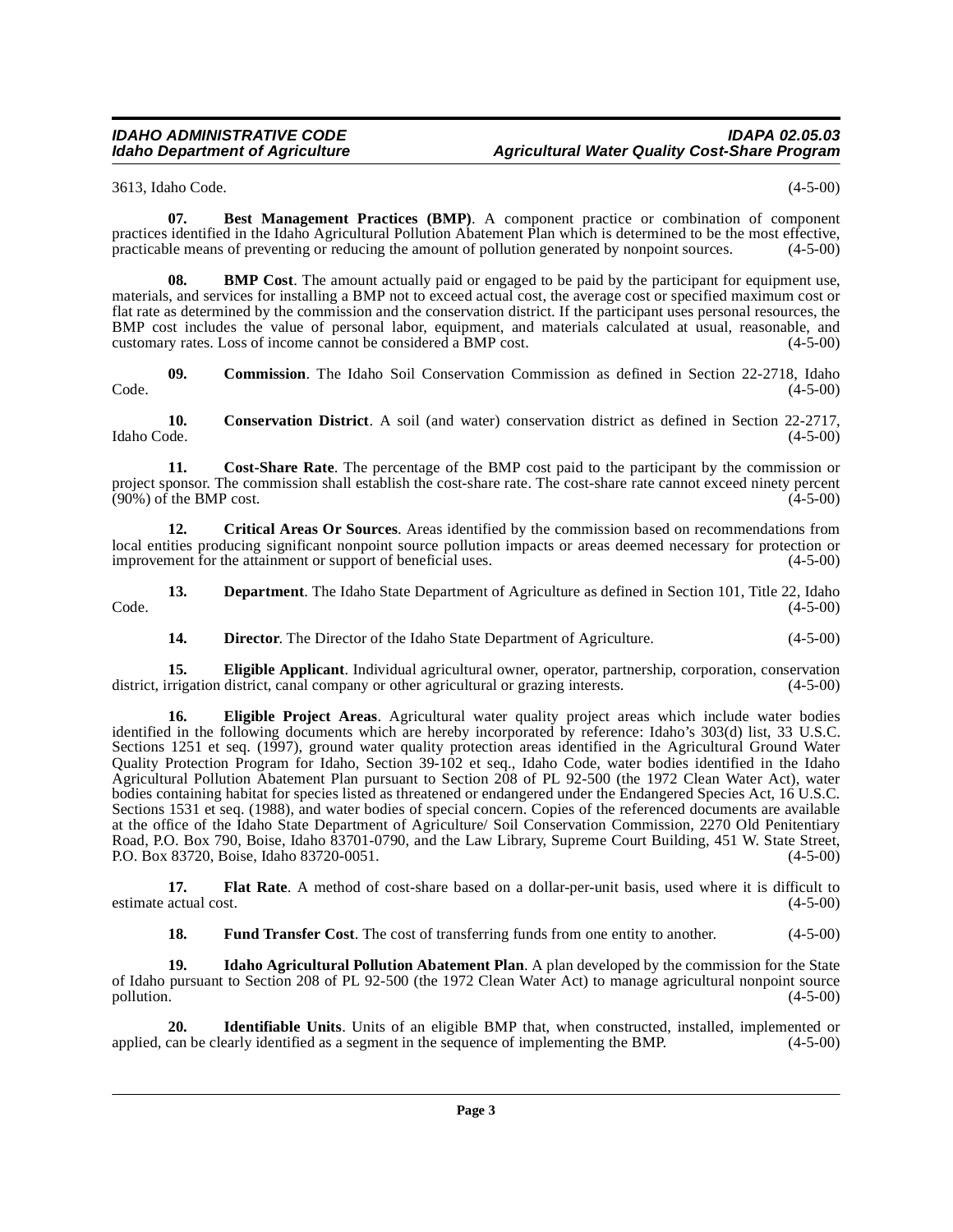3613, Idaho Code. (4-5-00)

**07. Best Management Practices (BMP)**. A component practice or combination of component practices identified in the Idaho Agricultural Pollution Abatement Plan which is determined to be the most effective, practicable means of preventing or reducing the amount of pollution generated by nonpoint sources. (4-5-00)

**08. BMP Cost**. The amount actually paid or engaged to be paid by the participant for equipment use, materials, and services for installing a BMP not to exceed actual cost, the average cost or specified maximum cost or flat rate as determined by the commission and the conservation district. If the participant uses personal resources, the BMP cost includes the value of personal labor, equipment, and materials calculated at usual, reasonable, and customary rates. Loss of income cannot be considered a BMP cost. (4-5-00) customary rates. Loss of income cannot be considered a BMP cost.

**09. Commission**. The Idaho Soil Conservation Commission as defined in Section 22-2718, Idaho  $\text{Code.}$  (4-5-00)

**10.** Conservation District. A soil (and water) conservation district as defined in Section 22-2717, Idaho Code. (4-5-00) Idaho Code. (4-5-00)

**11. Cost-Share Rate**. The percentage of the BMP cost paid to the participant by the commission or project sponsor. The commission shall establish the cost-share rate. The cost-share rate cannot exceed ninety percent (90%) of the BMP cost. (4-5-00)  $(90\%)$  of the BMP cost.

<span id="page-2-0"></span>**12. Critical Areas Or Sources**. Areas identified by the commission based on recommendations from local entities producing significant nonpoint source pollution impacts or areas deemed necessary for protection or improvement for the attainment or support of beneficial uses. (4-5-00)

13. **Department**. The Idaho State Department of Agriculture as defined in Section 101, Title 22, Idaho  $\text{Code.}$  (4-5-00)

**14. Director**. The Director of the Idaho State Department of Agriculture. (4-5-00)

**15. Eligible Applicant**. Individual agricultural owner, operator, partnership, corporation, conservation rrigation district, canal company or other agricultural or grazing interests.  $(4-5-00)$ district, irrigation district, canal company or other agricultural or grazing interests.

**16. Eligible Project Areas**[. Agricultural water quality project areas which include water bodies](http://www4.law.cornell.edu/uscode/33/1251.html) [identified in the following documents which are hereby incorporated by reference: Idaho's 303\(d\) list, 33 U.S.C.](http://www4.law.cornell.edu/uscode/33/1251.html) Sections 1251 et seq. (1997), ground water quality protection areas identified in the Agricultural Ground Water Quality Protection Program for Idaho, Section 39-102 et seq., Idaho Code, water bodies identified in the Idaho Agricultural Pollution Abatement Plan pursuant to Section 208 of PL 92-500 (the 1972 Clean Water Act), water [bodies containing habitat for species listed as threatened or endangered under the Endangered Species Act,](http://www4.law.cornell.edu/uscode/33/1251.html) [16 U.S.C.](http://www4.law.cornell.edu/uscode/16/1531.html) Sections 1531 et seq. (1988), and water bodies of special concern. Copies of the referenced documents are available [at the office of the Idaho State Department of Agriculture/ Soil Conservation Commission, 2270 Old Penitentiary](http://www4.law.cornell.edu/uscode/16/1531.html) Road, P.O. Box 790, Boise, Idaho 83701-0790, and the Law Library, Supreme Court Building, 451 W. State Street, [P.O. Box 83720, Boise, Idaho 83720-0051.](http://www4.law.cornell.edu/uscode/16/1531.html) (4-5-00)

**17. Flat Rate**. A method of cost-share based on a dollar-per-unit basis, used where it is difficult to estimate actual cost. (4-5-00)

<span id="page-2-1"></span>**18. Fund Transfer Cost**. The cost of transferring funds from one entity to another. (4-5-00)

**19. Idaho Agricultural Pollution Abatement Plan**. A plan developed by the commission for the State of Idaho pursuant to Section 208 of PL 92-500 (the 1972 Clean Water Act) to manage agricultural nonpoint source pollution. (4-5-00)

**20. Identifiable Units**. Units of an eligible BMP that, when constructed, installed, implemented or can be clearly identified as a segment in the sequence of implementing the BMP.  $(4-5-00)$ applied, can be clearly identified as a segment in the sequence of implementing the BMP.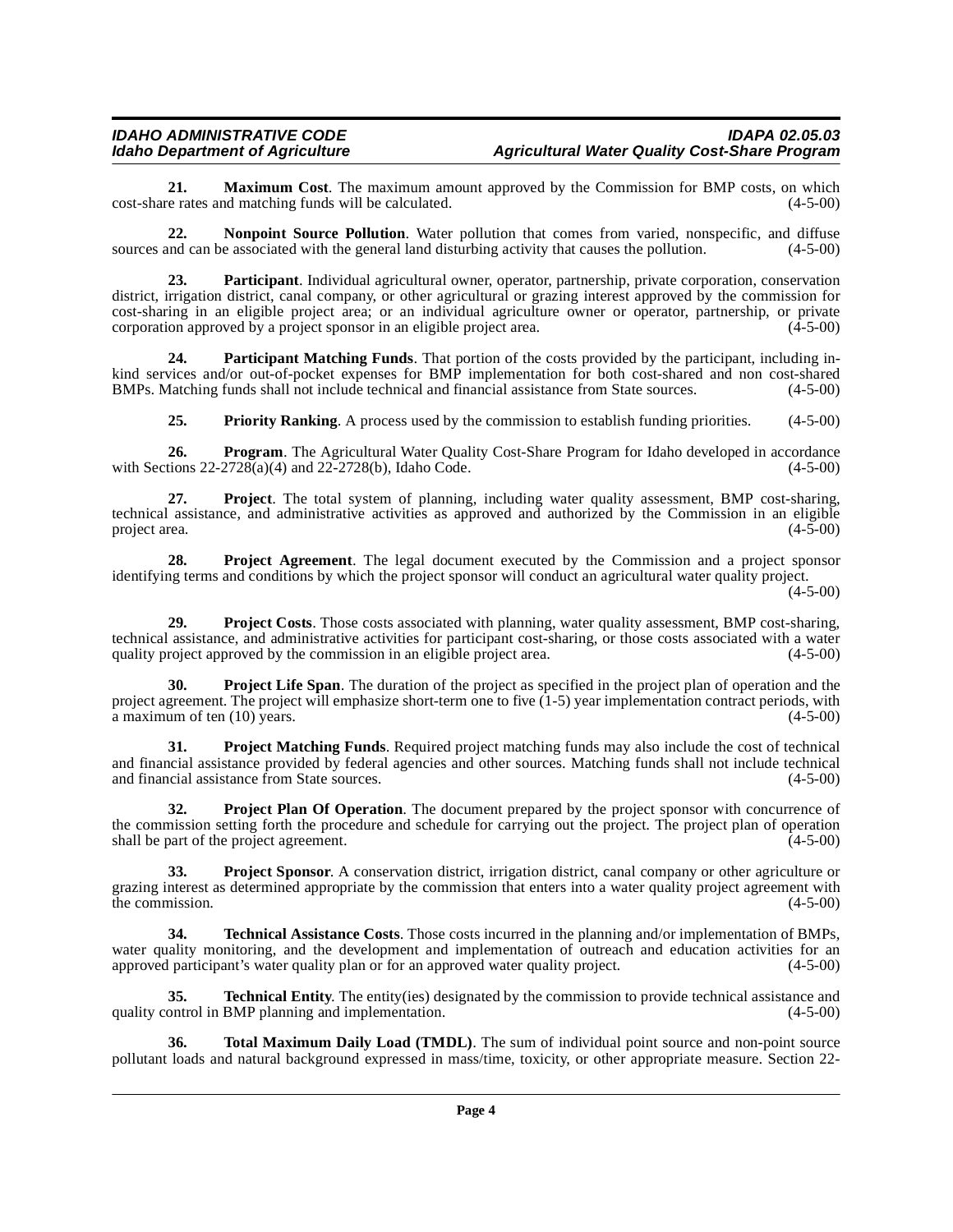**21. Maximum Cost**. The maximum amount approved by the Commission for BMP costs, on which e rates and matching funds will be calculated. (4-5-00) cost-share rates and matching funds will be calculated.

<span id="page-3-0"></span>**22. Nonpoint Source Pollution**. Water pollution that comes from varied, nonspecific, and diffuse sources and can be associated with the general land disturbing activity that causes the pollution. (4-5-00)

**23. Participant**. Individual agricultural owner, operator, partnership, private corporation, conservation district, irrigation district, canal company, or other agricultural or grazing interest approved by the commission for cost-sharing in an eligible project area; or an individual agriculture owner or operator, partnership, or private corporation approved by a project sponsor in an eligible project area.  $(4-5-00)$ 

**24. Participant Matching Funds**. That portion of the costs provided by the participant, including inkind services and/or out-of-pocket expenses for BMP implementation for both cost-shared and non cost-shared BMPs. Matching funds shall not include technical and financial assistance from State sources. (4-5-00)

<span id="page-3-1"></span>**25. Priority Ranking**. A process used by the commission to establish funding priorities. (4-5-00)

**26. Program**. The Agricultural Water Quality Cost-Share Program for Idaho developed in accordance with Sections 22-2728(a)(4) and 22-2728(b), Idaho Code. (4-5-00)

**27. Project**. The total system of planning, including water quality assessment, BMP cost-sharing, technical assistance, and administrative activities as approved and authorized by the Commission in an eligible<br>project area. (4-5-00) project area. (4-5-00)

**28. Project Agreement**. The legal document executed by the Commission and a project sponsor identifying terms and conditions by which the project sponsor will conduct an agricultural water quality project.

 $(4-5-00)$ 

**29. Project Costs**. Those costs associated with planning, water quality assessment, BMP cost-sharing, technical assistance, and administrative activities for participant cost-sharing, or those costs associated with a water quality project approved by the commission in an eligible project area. (4-5-00) quality project approved by the commission in an eligible project area.

<span id="page-3-2"></span>**Project Life Span**. The duration of the project as specified in the project plan of operation and the project agreement. The project will emphasize short-term one to five (1-5) year implementation contract periods, with  $\alpha$  maximum of ten (10) years. (4-5-00)

**31. Project Matching Funds**. Required project matching funds may also include the cost of technical and financial assistance provided by federal agencies and other sources. Matching funds shall not include technical and financial assistance from State sources. (4-5-00)

<span id="page-3-3"></span>**32. Project Plan Of Operation**. The document prepared by the project sponsor with concurrence of the commission setting forth the procedure and schedule for carrying out the project. The project plan of operation shall be part of the project agreement. (4-5-00)

**33. Project Sponsor**. A conservation district, irrigation district, canal company or other agriculture or grazing interest as determined appropriate by the commission that enters into a water quality project agreement with the commission.  $(4-5-00)$ 

<span id="page-3-4"></span>**34. Technical Assistance Costs**. Those costs incurred in the planning and/or implementation of BMPs, water quality monitoring, and the development and implementation of outreach and education activities for an approved participant's water quality plan or for an approved water quality project. (4-5-00) approved participant's water quality plan or for an approved water quality project.

**35. Technical Entity**. The entity(ies) designated by the commission to provide technical assistance and ontrol in BMP planning and implementation. (4-5-00) quality control in BMP planning and implementation.

<span id="page-3-5"></span>**36. Total Maximum Daily Load (TMDL)**. The sum of individual point source and non-point source pollutant loads and natural background expressed in mass/time, toxicity, or other appropriate measure. Section 22-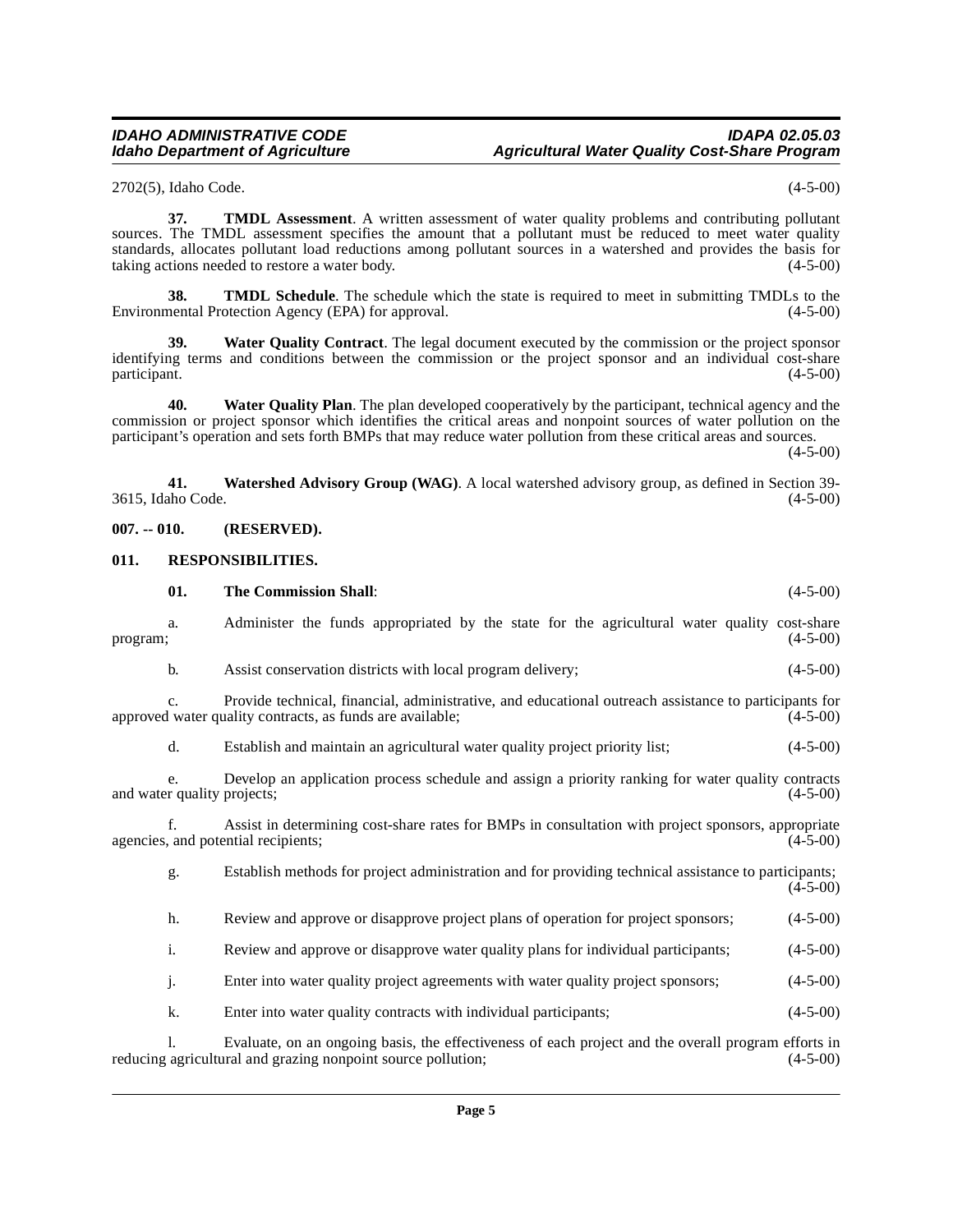2702(5), Idaho Code. (4-5-00)

**37. TMDL Assessment**. A written assessment of water quality problems and contributing pollutant sources. The TMDL assessment specifies the amount that a pollutant must be reduced to meet water quality standards, allocates pollutant load reductions among pollutant sources in a watershed and provides the basis for taking actions needed to restore a water body. (4-5-00) taking actions needed to restore a water body.

**38. TMDL Schedule**. The schedule which the state is required to meet in submitting TMDLs to the nentral Protection Agency (EPA) for approval. (4-5-00) Environmental Protection Agency (EPA) for approval.

**39. Water Quality Contract**. The legal document executed by the commission or the project sponsor identifying terms and conditions between the commission or the project sponsor and an individual cost-share participant. (4-5-00) participant. (4-5-00)

**40. Water Quality Plan**. The plan developed cooperatively by the participant, technical agency and the commission or project sponsor which identifies the critical areas and nonpoint sources of water pollution on the participant's operation and sets forth BMPs that may reduce water pollution from these critical areas and sources.

(4-5-00)

<span id="page-4-3"></span>**41. Watershed Advisory Group (WAG)**. A local watershed advisory group, as defined in Section 39- 3615, Idaho Code.

<span id="page-4-0"></span>**007. -- 010. (RESERVED).**

### <span id="page-4-1"></span>**011. RESPONSIBILITIES.**

<span id="page-4-2"></span>

|          | 01.            | <b>The Commission Shall:</b>                                                                                                                                        | $(4-5-00)$ |
|----------|----------------|---------------------------------------------------------------------------------------------------------------------------------------------------------------------|------------|
| program; | a.             | Administer the funds appropriated by the state for the agricultural water quality cost-share                                                                        | $(4-5-00)$ |
|          | b.             | Assist conservation districts with local program delivery;                                                                                                          | $(4-5-00)$ |
|          | C <sub>1</sub> | Provide technical, financial, administrative, and educational outreach assistance to participants for<br>approved water quality contracts, as funds are available;  | $(4-5-00)$ |
|          | d.             | Establish and maintain an agricultural water quality project priority list;                                                                                         | $(4-5-00)$ |
|          | e <sub>1</sub> | Develop an application process schedule and assign a priority ranking for water quality contracts<br>and water quality projects;                                    | $(4-5-00)$ |
|          | $f_{\cdot}$    | Assist in determining cost-share rates for BMPs in consultation with project sponsors, appropriate<br>agencies, and potential recipients;                           | $(4-5-00)$ |
|          | g.             | Establish methods for project administration and for providing technical assistance to participants;                                                                | $(4-5-00)$ |
|          | h.             | Review and approve or disapprove project plans of operation for project sponsors;                                                                                   | $(4-5-00)$ |
|          | i.             | Review and approve or disapprove water quality plans for individual participants;                                                                                   | $(4-5-00)$ |
|          | j.             | Enter into water quality project agreements with water quality project sponsors;                                                                                    | $(4-5-00)$ |
|          | k.             | Enter into water quality contracts with individual participants;                                                                                                    | $(4-5-00)$ |
|          |                | Evaluate, on an ongoing basis, the effectiveness of each project and the overall program efforts in<br>reducing agricultural and grazing nonpoint source pollution; | $(4-5-00)$ |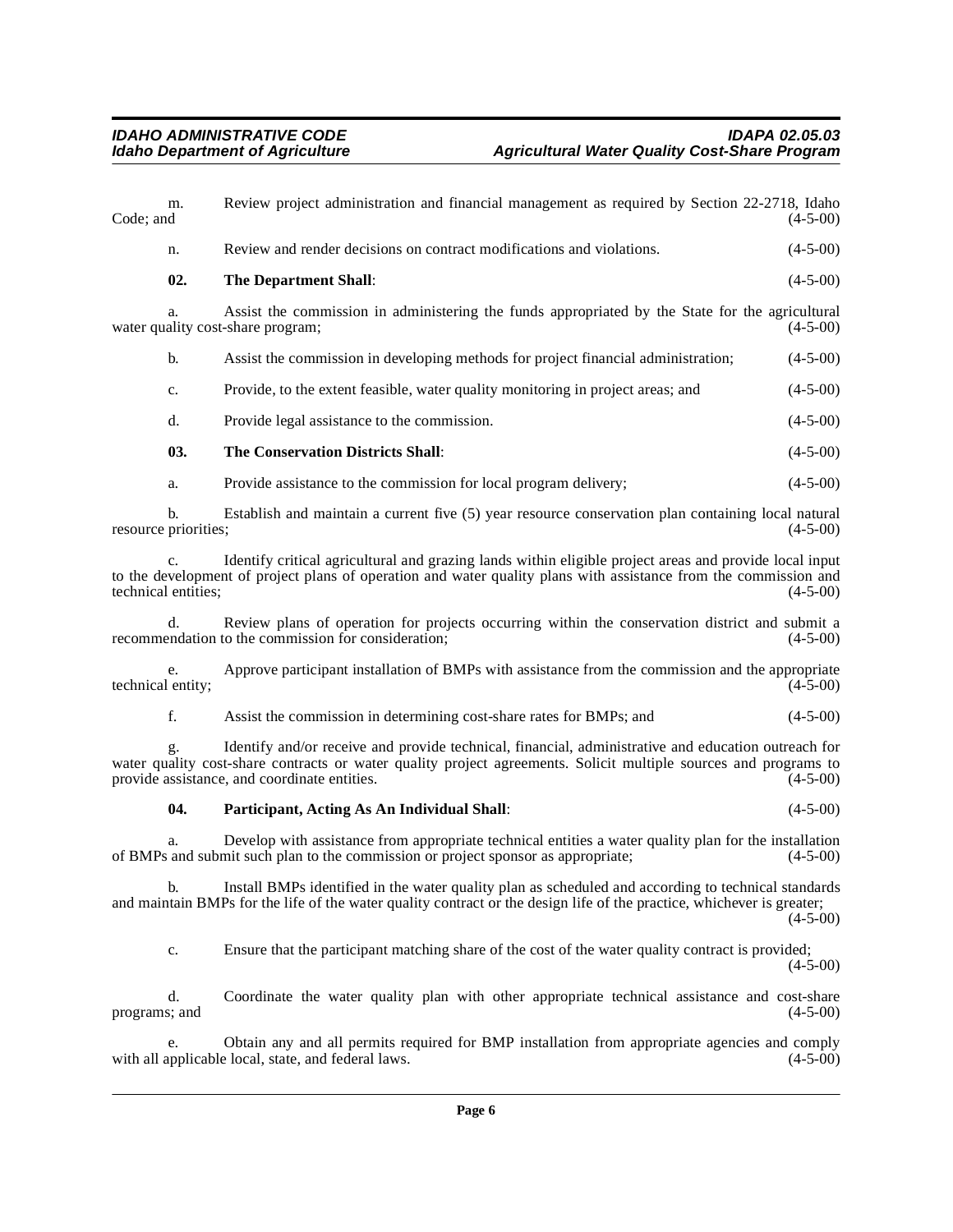<span id="page-5-1"></span><span id="page-5-0"></span>

| m.<br>Code; and                       | Review project administration and financial management as required by Section 22-2718, Idaho                                                                                                                                                                            | $(4-5-00)$     |
|---------------------------------------|-------------------------------------------------------------------------------------------------------------------------------------------------------------------------------------------------------------------------------------------------------------------------|----------------|
| n.                                    | Review and render decisions on contract modifications and violations.                                                                                                                                                                                                   | $(4 - 5 - 00)$ |
| 02.                                   | The Department Shall:                                                                                                                                                                                                                                                   | $(4-5-00)$     |
| a.                                    | Assist the commission in administering the funds appropriated by the State for the agricultural<br>water quality cost-share program;                                                                                                                                    | $(4-5-00)$     |
| b.                                    | Assist the commission in developing methods for project financial administration;                                                                                                                                                                                       | $(4-5-00)$     |
| c.                                    | Provide, to the extent feasible, water quality monitoring in project areas; and                                                                                                                                                                                         | $(4-5-00)$     |
| d.                                    | Provide legal assistance to the commission.                                                                                                                                                                                                                             | $(4-5-00)$     |
| 03.                                   | <b>The Conservation Districts Shall:</b>                                                                                                                                                                                                                                | $(4-5-00)$     |
| a.                                    | Provide assistance to the commission for local program delivery;                                                                                                                                                                                                        | $(4-5-00)$     |
| b.<br>resource priorities;            | Establish and maintain a current five (5) year resource conservation plan containing local natural                                                                                                                                                                      | $(4-5-00)$     |
| $\mathbf{c}$ .<br>technical entities: | Identify critical agricultural and grazing lands within eligible project areas and provide local input<br>to the development of project plans of operation and water quality plans with assistance from the commission and                                              | $(4-5-00)$     |
| d.                                    | Review plans of operation for projects occurring within the conservation district and submit a<br>recommendation to the commission for consideration;                                                                                                                   | $(4-5-00)$     |
| e.<br>technical entity;               | Approve participant installation of BMPs with assistance from the commission and the appropriate                                                                                                                                                                        | $(4-5-00)$     |
| f.                                    | Assist the commission in determining cost-share rates for BMPs; and                                                                                                                                                                                                     | $(4-5-00)$     |
|                                       | Identify and/or receive and provide technical, financial, administrative and education outreach for<br>water quality cost-share contracts or water quality project agreements. Solicit multiple sources and programs to<br>provide assistance, and coordinate entities. | $(4-5-00)$     |
| 04.                                   | Participant, Acting As An Individual Shall:                                                                                                                                                                                                                             | $(4-5-00)$     |
| a.                                    | Develop with assistance from appropriate technical entities a water quality plan for the installation<br>of BMPs and submit such plan to the commission or project sponsor as appropriate;                                                                              | $(4-5-00)$     |
| b.                                    | Install BMPs identified in the water quality plan as scheduled and according to technical standards<br>and maintain BMPs for the life of the water quality contract or the design life of the practice, whichever is greater;                                           | $(4-5-00)$     |
| c.                                    | Ensure that the participant matching share of the cost of the water quality contract is provided;                                                                                                                                                                       | $(4-5-00)$     |
| d.<br>programs; and                   | Coordinate the water quality plan with other appropriate technical assistance and cost-share                                                                                                                                                                            | $(4-5-00)$     |
|                                       |                                                                                                                                                                                                                                                                         |                |

<span id="page-5-2"></span>e. Obtain any and all permits required for BMP installation from appropriate agencies and comply with all applicable local, state, and federal laws. (4-5-00)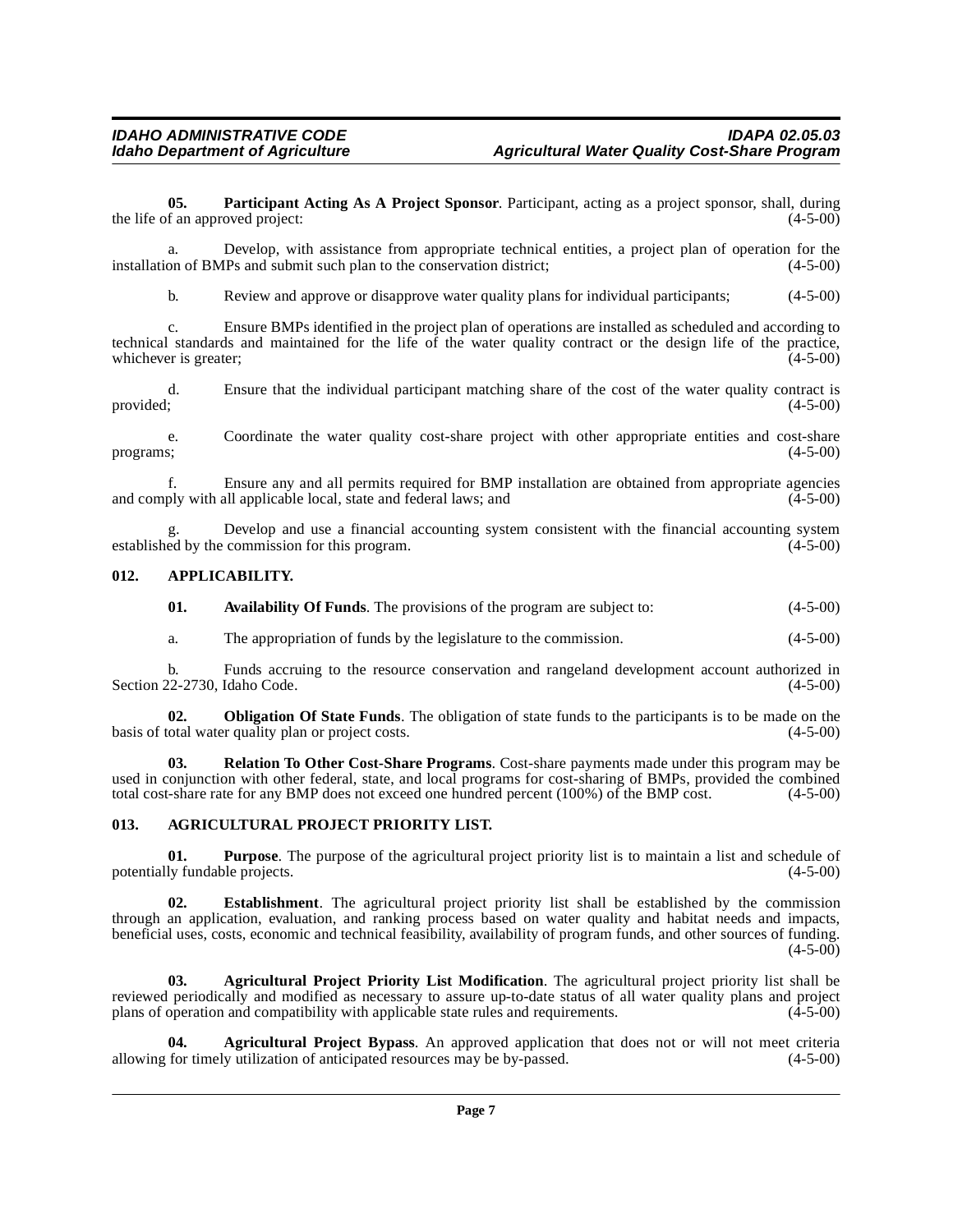<span id="page-6-6"></span>**05. Participant Acting As A Project Sponsor**. Participant, acting as a project sponsor, shall, during the life of an approved project:

a. Develop, with assistance from appropriate technical entities, a project plan of operation for the installation of BMPs and submit such plan to the conservation district; (4-5-00)

b. Review and approve or disapprove water quality plans for individual participants; (4-5-00)

c. Ensure BMPs identified in the project plan of operations are installed as scheduled and according to technical standards and maintained for the life of the water quality contract or the design life of the practice, whichever is greater; (4-5-00) whichever is greater;

d. Ensure that the individual participant matching share of the cost of the water quality contract is provided;  $(4-5-00)$ 

e. Coordinate the water quality cost-share project with other appropriate entities and cost-share programs; (4-5-00) programs;  $(4-5-00)$ 

f. Ensure any and all permits required for BMP installation are obtained from appropriate agencies and comply with all applicable local, state and federal laws; and

g. Develop and use a financial accounting system consistent with the financial accounting system ed by the commission for this program. (4-5-00) established by the commission for this program.

### <span id="page-6-0"></span>**012. APPLICABILITY.**

<span id="page-6-4"></span>

| 01. | Availability Of Funds. The provisions of the program are subject to: |  |  | $(4-5-00)$ |
|-----|----------------------------------------------------------------------|--|--|------------|
|-----|----------------------------------------------------------------------|--|--|------------|

<span id="page-6-5"></span>a. The appropriation of funds by the legislature to the commission. (4-5-00)

b. Funds accruing to the resource conservation and rangeland development account authorized in Section 22-2730, Idaho Code.

**02. Obligation Of State Funds**. The obligation of state funds to the participants is to be made on the otal water quality plan or project costs. (4-5-00) basis of total water quality plan or project costs.

**03. Relation To Other Cost-Share Programs**. Cost-share payments made under this program may be used in conjunction with other federal, state, and local programs for cost-sharing of BMPs, provided the combined total cost-share rate for any BMP does not exceed one hundred percent (100%) of the BMP cost. (4-5-00) total cost-share rate for any BMP does not exceed one hundred percent (100%) of the BMP cost.

### <span id="page-6-2"></span><span id="page-6-1"></span>**013. AGRICULTURAL PROJECT PRIORITY LIST.**

**01. Purpose**. The purpose of the agricultural project priority list is to maintain a list and schedule of ly fundable projects. (4-5-00) potentially fundable projects.

**02. Establishment**. The agricultural project priority list shall be established by the commission through an application, evaluation, and ranking process based on water quality and habitat needs and impacts, beneficial uses, costs, economic and technical feasibility, availability of program funds, and other sources of funding.  $(4-5-00)$ 

<span id="page-6-3"></span>**03. Agricultural Project Priority List Modification**. The agricultural project priority list shall be reviewed periodically and modified as necessary to assure up-to-date status of all water quality plans and project plans of operation and compatibility with applicable state rules and requirements. (4-5-00) plans of operation and compatibility with applicable state rules and requirements.

**Agricultural Project Bypass**. An approved application that does not or will not meet criteria y utilization of anticipated resources may be by-passed. (4-5-00) allowing for timely utilization of anticipated resources may be by-passed.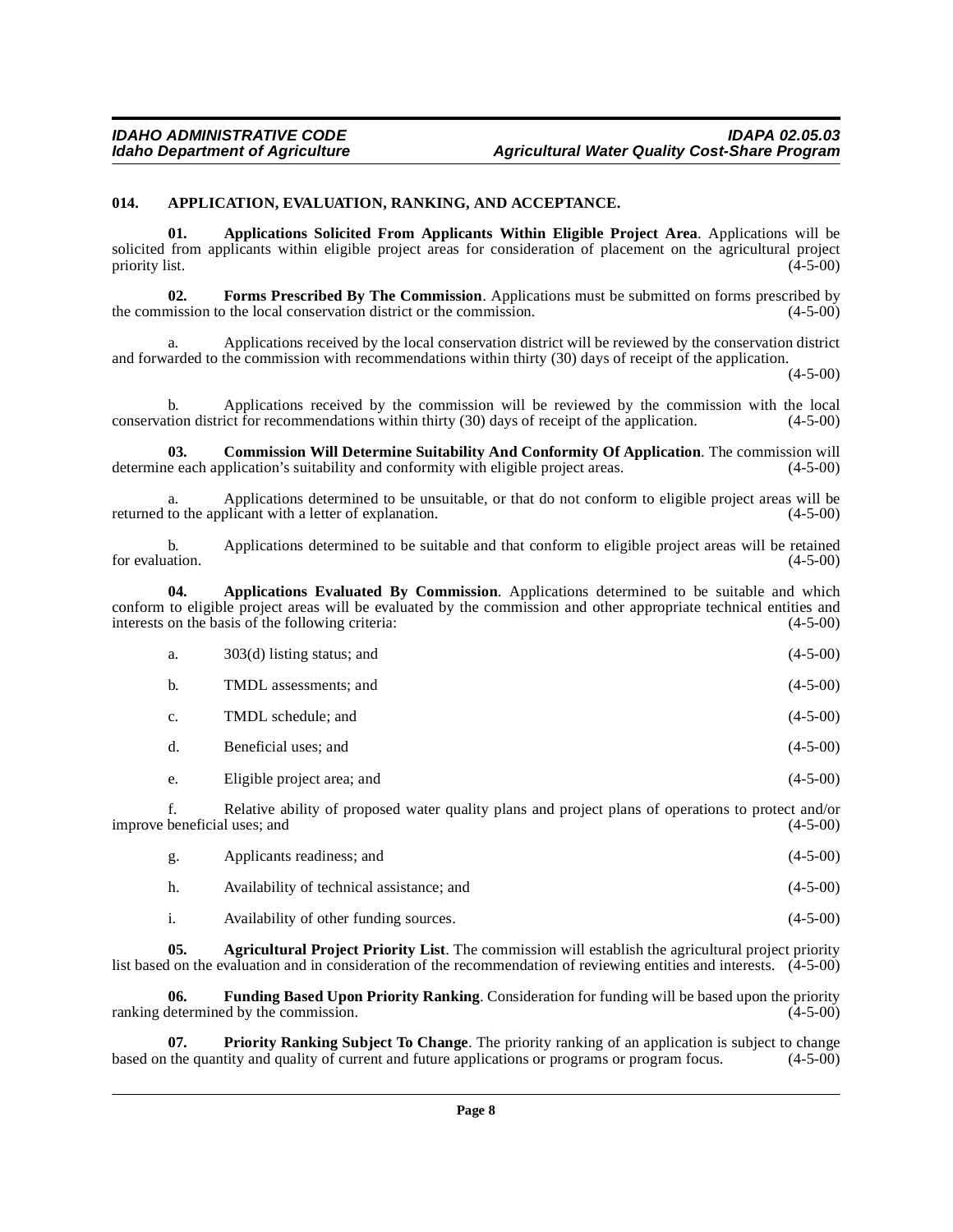### <span id="page-7-2"></span><span id="page-7-0"></span>**014. APPLICATION, EVALUATION, RANKING, AND ACCEPTANCE.**

**01. Applications Solicited From Applicants Within Eligible Project Area**. Applications will be solicited from applicants within eligible project areas for consideration of placement on the agricultural project priority list. (4-5-00) priority list. (4-5-00)

**02. Forms Prescribed By The Commission**. Applications must be submitted on forms prescribed by mission to the local conservation district or the commission. (4-5-00) the commission to the local conservation district or the commission.

a. Applications received by the local conservation district will be reviewed by the conservation district and forwarded to the commission with recommendations within thirty (30) days of receipt of the application.

 $(4 - 5 - 00)$ 

b. Applications received by the commission will be reviewed by the commission with the local tion district for recommendations within thirty (30) days of receipt of the application. (4-5-00) conservation district for recommendations within thirty  $(30)$  days of receipt of the application.

**03. Commission Will Determine Suitability And Conformity Of Application**. The commission will determine each application's suitability and conformity with eligible project areas. (4-5-00)

a. Applications determined to be unsuitable, or that do not conform to eligible project areas will be to the applicant with a letter of explanation. (4-5-00) returned to the applicant with a letter of explanation.

b. Applications determined to be suitable and that conform to eligible project areas will be retained for evaluation.  $(4-5-00)$ 

**04. Applications Evaluated By Commission**. Applications determined to be suitable and which conform to eligible project areas will be evaluated by the commission and other appropriate technical entities and interests on the basis of the following criteria: (4-5-00)

| a. | $303(d)$ listing status; and | $(4-5-00)$ |
|----|------------------------------|------------|
| b. | TMDL assessments; and        | $(4-5-00)$ |
| c. | TMDL schedule; and           | $(4-5-00)$ |
| d. | Beneficial uses; and         | $(4-5-00)$ |
| e. | Eligible project area; and   | $(4-5-00)$ |

f. Relative ability of proposed water quality plans and project plans of operations to protect and/or improve beneficial uses; and (4-5-00)

<span id="page-7-1"></span>

| g. | Applicants readiness; and                 | $(4-5-00)$ |
|----|-------------------------------------------|------------|
| h. | Availability of technical assistance; and | $(4-5-00)$ |
|    | Availability of other funding sources.    | $(4-5-00)$ |

**05. Agricultural Project Priority List**. The commission will establish the agricultural project priority list based on the evaluation and in consideration of the recommendation of reviewing entities and interests. (4-5-00)

**06. Funding Based Upon Priority Ranking**. Consideration for funding will be based upon the priority ranking determined by the commission.

**Priority Ranking Subject To Change**. The priority ranking of an application is subject to change<br>tity and quality of current and future applications or programs or program focus. (4-5-00) based on the quantity and quality of current and future applications or programs or program focus.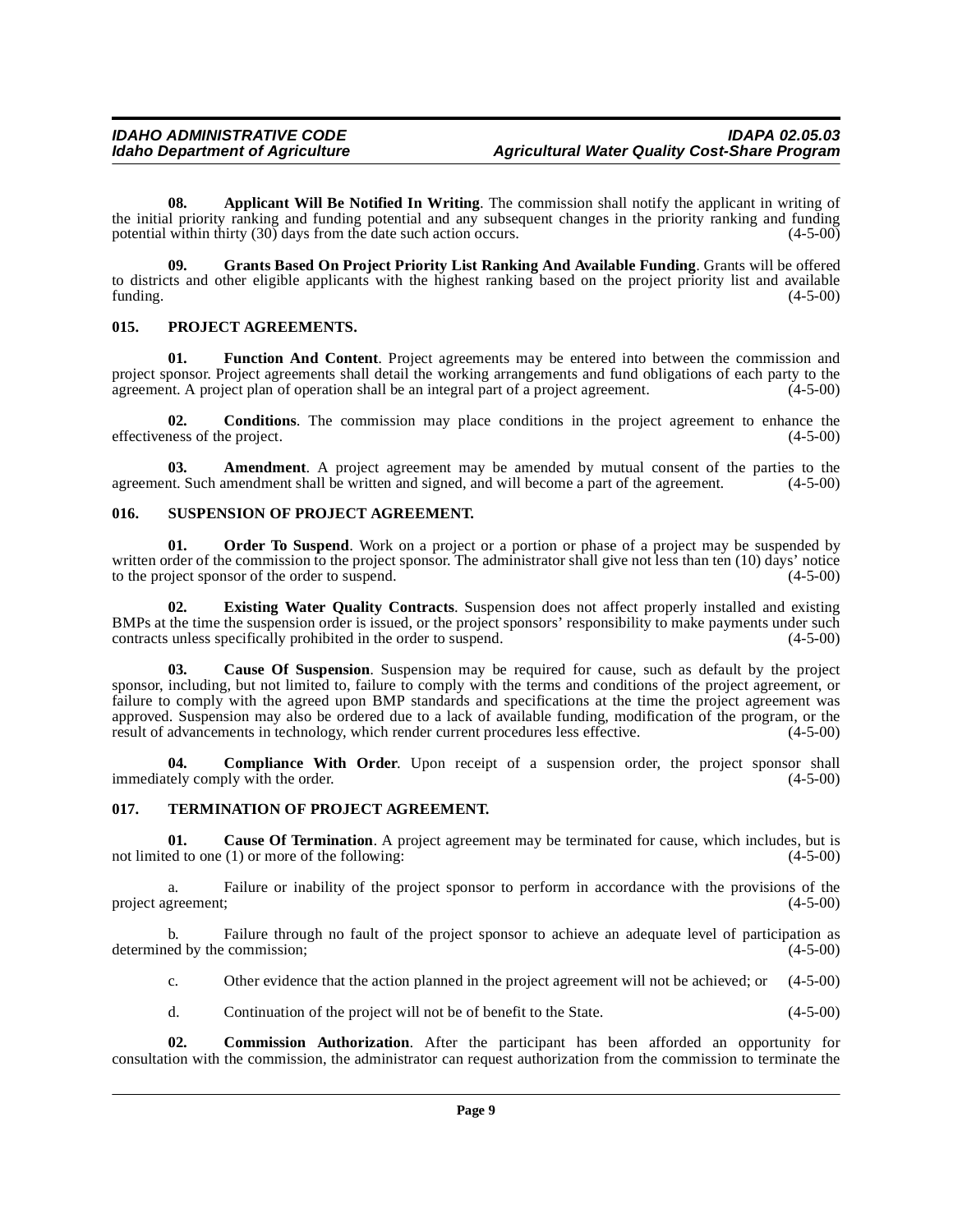**08. Applicant Will Be Notified In Writing**. The commission shall notify the applicant in writing of the initial priority ranking and funding potential and any subsequent changes in the priority ranking and funding potential within thirty (30) days from the date such action occurs. (4-5-00) potential within thirty  $(30)$  days from the date such action occurs.

<span id="page-8-3"></span>**09. Grants Based On Project Priority List Ranking And Available Funding**. Grants will be offered to districts and other eligible applicants with the highest ranking based on the project priority list and available funding. (4-5-00)  $funding.$  (4-5-00)

### <span id="page-8-4"></span><span id="page-8-0"></span>**015. PROJECT AGREEMENTS.**

**01. Function And Content**. Project agreements may be entered into between the commission and project sponsor. Project agreements shall detail the working arrangements and fund obligations of each party to the agreement. A project plan of operation shall be an integral part of a project agreement. (4-5-00)

**02.** Conditions. The commission may place conditions in the project agreement to enhance the ness of the project.  $(4-5-00)$ effectiveness of the project.

**03. Amendment**. A project agreement may be amended by mutual consent of the parties to the agreement. Such amendment shall be written and signed, and will become a part of the agreement. (4-5-00)

### <span id="page-8-5"></span><span id="page-8-1"></span>**016. SUSPENSION OF PROJECT AGREEMENT.**

**01. Order To Suspend**. Work on a project or a portion or phase of a project may be suspended by written order of the commission to the project sponsor. The administrator shall give not less than ten (10) days' notice<br>to the project sponsor of the order to suspend. to the project sponsor of the order to suspend.

**02. Existing Water Quality Contracts**. Suspension does not affect properly installed and existing BMPs at the time the suspension order is issued, or the project sponsors' responsibility to make payments under such contracts unless specifically prohibited in the order to suspend.  $(4-5-00)$ contracts unless specifically prohibited in the order to suspend.

**03. Cause Of Suspension**. Suspension may be required for cause, such as default by the project sponsor, including, but not limited to, failure to comply with the terms and conditions of the project agreement, or failure to comply with the agreed upon BMP standards and specifications at the time the project agreement was approved. Suspension may also be ordered due to a lack of available funding, modification of the program, or the result of advancements in technology, which render current procedures less effective. (4-5-00) result of advancements in technology, which render current procedures less effective.

**04. Compliance With Order**. Upon receipt of a suspension order, the project sponsor shall tely comply with the order. (4-5-00) immediately comply with the order.

### <span id="page-8-6"></span><span id="page-8-2"></span>**017. TERMINATION OF PROJECT AGREEMENT.**

**01.** Cause Of Termination. A project agreement may be terminated for cause, which includes, but is ed to one (1) or more of the following: (4-5-00) not limited to one  $(1)$  or more of the following:

a. Failure or inability of the project sponsor to perform in accordance with the provisions of the project agreement; (4-5-00)

b. Failure through no fault of the project sponsor to achieve an adequate level of participation as ed by the commission; (4-5-00) determined by the commission;

c. Other evidence that the action planned in the project agreement will not be achieved; or (4-5-00)

d. Continuation of the project will not be of benefit to the State. (4-5-00)

**02. Commission Authorization**. After the participant has been afforded an opportunity for consultation with the commission, the administrator can request authorization from the commission to terminate the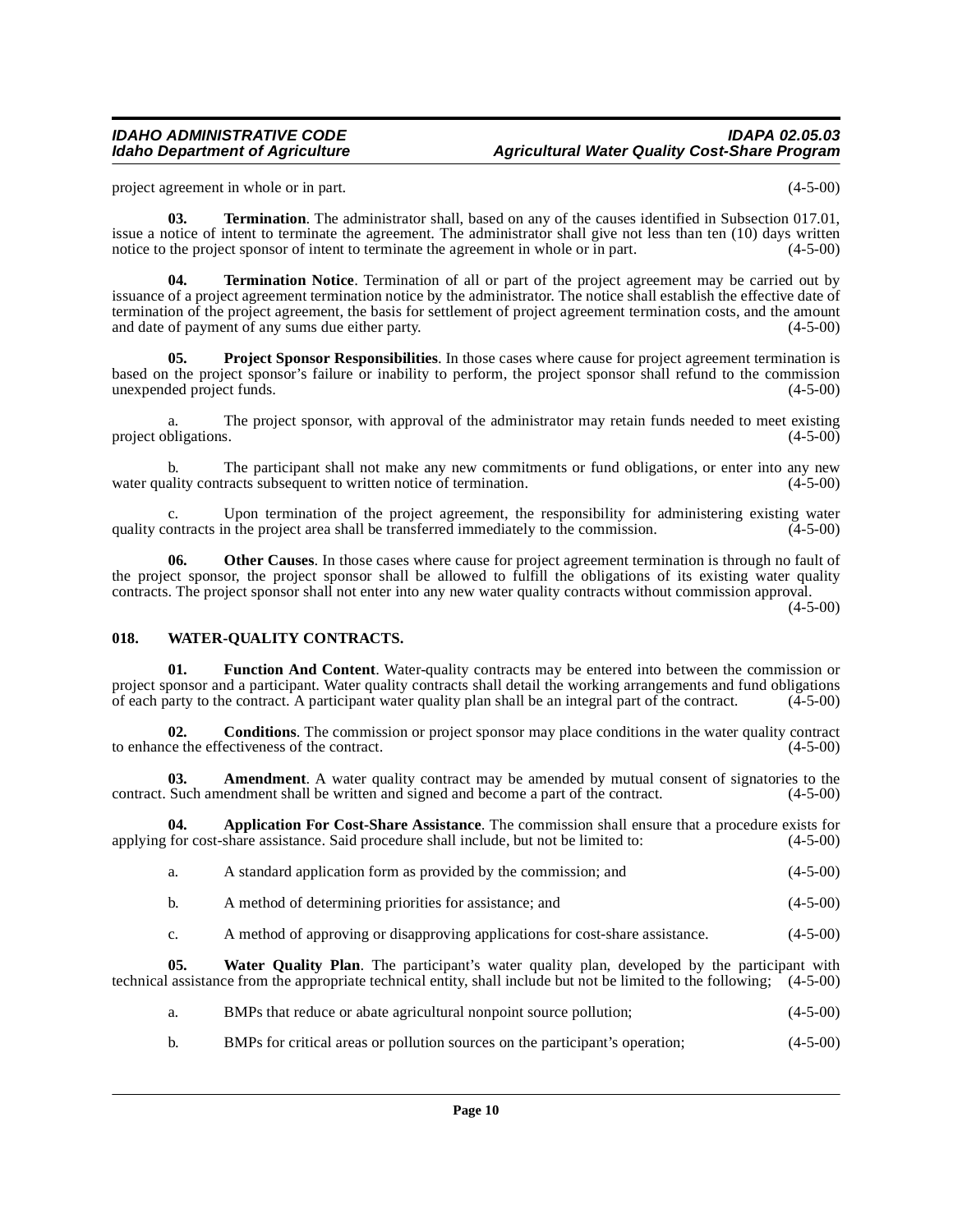project agreement in whole or in part. (4-5-00)

**03. Termination**. The administrator shall, based on any of the causes identified in Subsection 017.01, issue a notice of intent to terminate the agreement. The administrator shall give not less than ten (10) days written notice to the project sponsor of intent to terminate the agreement in whole or in part. (4-5-00)

**04. Termination Notice**. Termination of all or part of the project agreement may be carried out by issuance of a project agreement termination notice by the administrator. The notice shall establish the effective date of termination of the project agreement, the basis for settlement of project agreement termination costs, and the amount and date of payment of any sums due either party. (4-5-00)

<span id="page-9-2"></span>**05.** Project Sponsor Responsibilities. In those cases where cause for project agreement termination is based on the project sponsor's failure or inability to perform, the project sponsor shall refund to the commission unexpended project funds. (4-5-00)

a. The project sponsor, with approval of the administrator may retain funds needed to meet existing bligations. (4-5-00) project obligations.

The participant shall not make any new commitments or fund obligations, or enter into any new racts subsequent to written notice of termination. (4-5-00) water quality contracts subsequent to written notice of termination.

c. Upon termination of the project agreement, the responsibility for administering existing water quality contracts in the project area shall be transferred immediately to the commission.

**06.** Other Causes. In those cases where cause for project agreement termination is through no fault of the project sponsor, the project sponsor shall be allowed to fulfill the obligations of its existing water quality contracts. The project sponsor shall not enter into any new water quality contracts without commission approval.

(4-5-00)

### <span id="page-9-3"></span><span id="page-9-0"></span>**018. WATER-QUALITY CONTRACTS.**

**01. Function And Content**. Water-quality contracts may be entered into between the commission or project sponsor and a participant. Water quality contracts shall detail the working arrangements and fund obligations of each party to the contract. A participant water quality plan shall be an integral part of the contrac of each party to the contract. A participant water quality plan shall be an integral part of the contract.

**02. Conditions**. The commission or project sponsor may place conditions in the water quality contract ce the effectiveness of the contract. (4-5-00) to enhance the effectiveness of the contract.

**03.** Amendment. A water quality contract may be amended by mutual consent of signatories to the Such amendment shall be written and signed and become a part of the contract. (4-5-00) contract. Such amendment shall be written and signed and become a part of the contract.

**04. Application For Cost-Share Assistance**. The commission shall ensure that a procedure exists for applying for cost-share assistance. Said procedure shall include, but not be limited to: (4-5-00)

<span id="page-9-1"></span>

| a. | A standard application form as provided by the commission; and | $(4-5-00)$ |
|----|----------------------------------------------------------------|------------|
|----|----------------------------------------------------------------|------------|

- b. A method of determining priorities for assistance; and (4-5-00)
- c. A method of approving or disapproving applications for cost-share assistance. (4-5-00)

**05. Water Quality Plan**. The participant's water quality plan, developed by the participant with technical assistance from the appropriate technical entity, shall include but not be limited to the following; (4-5-00)

- a. BMPs that reduce or abate agricultural nonpoint source pollution; (4-5-00)
- b. BMPs for critical areas or pollution sources on the participant's operation; (4-5-00)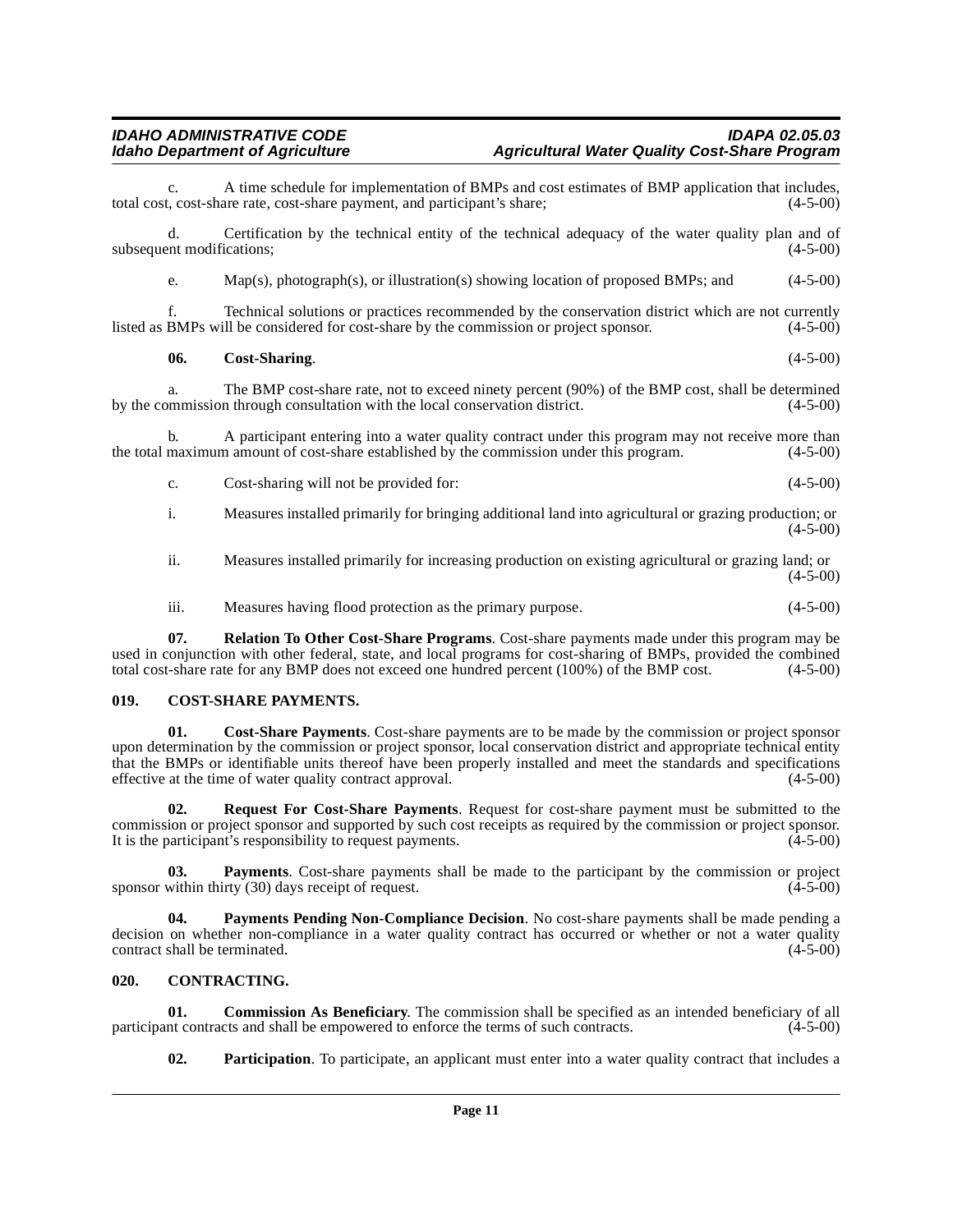A time schedule for implementation of BMPs and cost estimates of BMP application that includes,<br>are rate, cost-share payment, and participant's share: (4-5-00) total cost, cost-share rate, cost-share payment, and participant's share;

d. Certification by the technical entity of the technical adequacy of the water quality plan and of subsequent modifications; (4-5-00)

e. Map(s), photograph(s), or illustration(s) showing location of proposed BMPs; and (4-5-00)

f. Technical solutions or practices recommended by the conservation district which are not currently listed as BMPs will be considered for cost-share by the commission or project sponsor. (4-5-00)

### **06. Cost-Sharing**. (4-5-00)

a. The BMP cost-share rate, not to exceed ninety percent (90%) of the BMP cost, shall be determined by the commission through consultation with the local conservation district. (4-5-00)

b. A participant entering into a water quality contract under this program may not receive more than maximum amount of cost-share established by the commission under this program. (4-5-00) the total maximum amount of cost-share established by the commission under this program.

c. Cost-sharing will not be provided for: (4-5-00)

i. Measures installed primarily for bringing additional land into agricultural or grazing production; or  $(4-5-00)$ 

ii. Measures installed primarily for increasing production on existing agricultural or grazing land; or (4-5-00)

iii. Measures having flood protection as the primary purpose. (4-5-00)

**07. Relation To Other Cost-Share Programs**. Cost-share payments made under this program may be used in conjunction with other federal, state, and local programs for cost-sharing of BMPs, provided the combined total cost-share rate for any BMP does not exceed one hundred percent (100%) of the BMP cost. (4-5-00)

### <span id="page-10-3"></span><span id="page-10-0"></span>**019. COST-SHARE PAYMENTS.**

**01. Cost-Share Payments**. Cost-share payments are to be made by the commission or project sponsor upon determination by the commission or project sponsor, local conservation district and appropriate technical entity that the BMPs or identifiable units thereof have been properly installed and meet the standards and specifications effective at the time of water quality contract approval. (4-5-00)

<span id="page-10-5"></span>**02. Request For Cost-Share Payments**. Request for cost-share payment must be submitted to the commission or project sponsor and supported by such cost receipts as required by the commission or project sponsor. It is the participant's responsibility to request payments. (4-5-00)

**03. Payments**. Cost-share payments shall be made to the participant by the commission or project within thirty (30) days receipt of request. (4-5-00) sponsor within thirty  $(30)$  days receipt of request.

<span id="page-10-4"></span>**04. Payments Pending Non-Compliance Decision**. No cost-share payments shall be made pending a decision on whether non-compliance in a water quality contract has occurred or whether or not a water quality contract shall be terminated. (4-5-00) contract shall be terminated.

### <span id="page-10-2"></span><span id="page-10-1"></span>**020. CONTRACTING.**

**01. Commission As Beneficiary**. The commission shall be specified as an intended beneficiary of all nt contracts and shall be empowered to enforce the terms of such contracts. (4-5-00) participant contracts and shall be empowered to enforce the terms of such contracts.

**02. Participation**. To participate, an applicant must enter into a water quality contract that includes a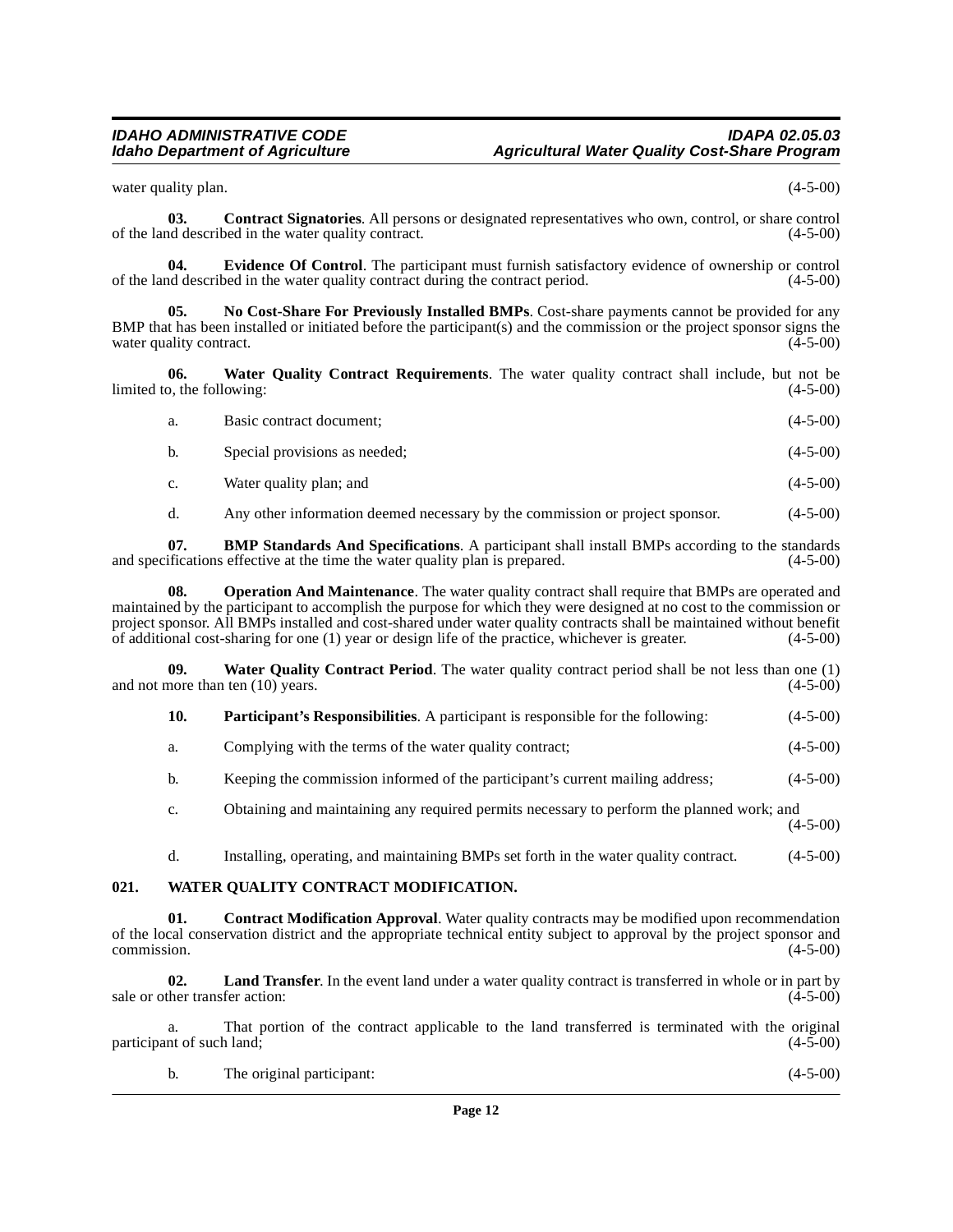water quality plan. (4-5-00)

**03. Contract Signatories**. All persons or designated representatives who own, control, or share control of the land described in the water quality contract. (4-5-00)

**04.** Evidence Of Control. The participant must furnish satisfactory evidence of ownership or control described in the water quality contract during the contract period. (4-5-00) of the land described in the water quality contract during the contract period.

<span id="page-11-1"></span>**05. No Cost-Share For Previously Installed BMPs**. Cost-share payments cannot be provided for any BMP that has been installed or initiated before the participant(s) and the commission or the project sponsor signs the water quality contract.  $(4-5-00)$ 

**06. Water Quality Contract Requirements**. The water quality contract shall include, but not be limited to, the following: (4-5-00)

<span id="page-11-5"></span>

| а. | Basic contract document;      | $(4-5-00)$ |
|----|-------------------------------|------------|
| b. | Special provisions as needed; | $(4-5-00)$ |

- c. Water quality plan; and (4-5-00)
- d. Any other information deemed necessary by the commission or project sponsor. (4-5-00)

**07. BMP Standards And Specifications**. A participant shall install BMPs according to the standards and specifications effective at the time the water quality plan is prepared. (4-5-00)

**08. Operation And Maintenance**. The water quality contract shall require that BMPs are operated and maintained by the participant to accomplish the purpose for which they were designed at no cost to the commission or project sponsor. All BMPs installed and cost-shared under water quality contracts shall be maintained without benefit of additional cost-sharing for one (1) year or design life of the practice, whichever is greater. (4-5-00)

**09.** Water Quality Contract Period. The water quality contract period shall be not less than one (1) nore than ten (10) years. (4-5-00) and not more than ten  $(10)$  years.

<span id="page-11-4"></span><span id="page-11-2"></span>

| 10. | <b>Participant's Responsibilities.</b> A participant is responsible for the following: |  |  |  | $(4-5-00)$ |
|-----|----------------------------------------------------------------------------------------|--|--|--|------------|
|-----|----------------------------------------------------------------------------------------|--|--|--|------------|

- a. Complying with the terms of the water quality contract; (4-5-00)
- b. Keeping the commission informed of the participant's current mailing address; (4-5-00)
- c. Obtaining and maintaining any required permits necessary to perform the planned work; and (4-5-00)
- <span id="page-11-3"></span>d. Installing, operating, and maintaining BMPs set forth in the water quality contract. (4-5-00)

### <span id="page-11-0"></span>**021. WATER QUALITY CONTRACT MODIFICATION.**

**01.** Contract Modification Approval. Water quality contracts may be modified upon recommendation of the local conservation district and the appropriate technical entity subject to approval by the project sponsor and commission. (4-5-00)  $\epsilon$  commission. (4-5-00)

**02. Land Transfer**. In the event land under a water quality contract is transferred in whole or in part by sale or other transfer action: (4-5-00) (4-5-00)

a. That portion of the contract applicable to the land transferred is terminated with the original int of such land; (4-5-00) participant of such land;

| The original participant: | $(4-5-00)$ |
|---------------------------|------------|
|                           |            |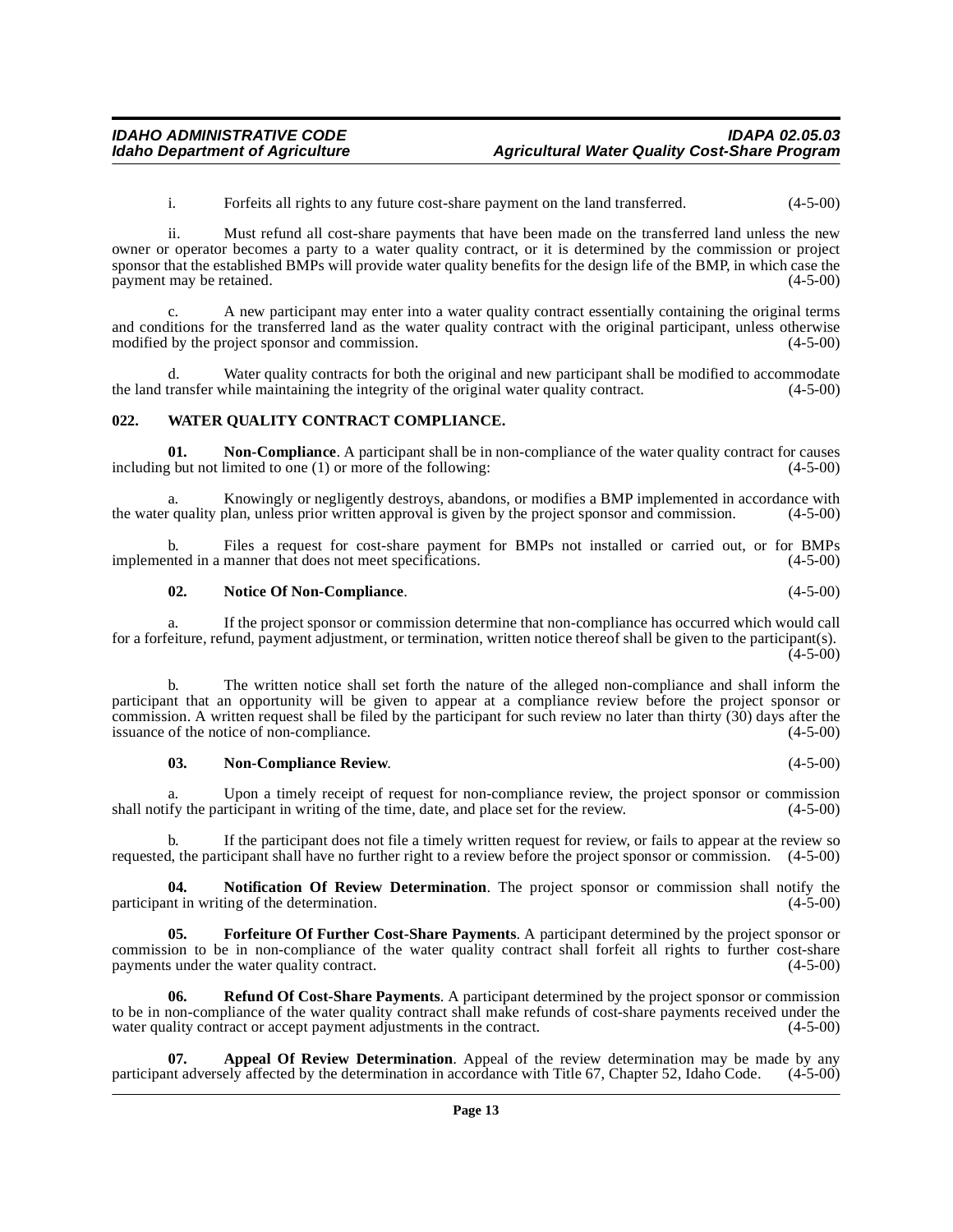i. Forfeits all rights to any future cost-share payment on the land transferred. (4-5-00)

ii. Must refund all cost-share payments that have been made on the transferred land unless the new owner or operator becomes a party to a water quality contract, or it is determined by the commission or project sponsor that the established BMPs will provide water quality benefits for the design life of the BMP, in which case the payment may be retained. (4-5-00) payment may be retained.

c. A new participant may enter into a water quality contract essentially containing the original terms and conditions for the transferred land as the water quality contract with the original participant, unless otherwise modified by the project sponsor and commission. (4-5-00)

d. Water quality contracts for both the original and new participant shall be modified to accommodate the land transfer while maintaining the integrity of the original water quality contract. (4-5-00)

### <span id="page-12-4"></span><span id="page-12-0"></span>**022. WATER QUALITY CONTRACT COMPLIANCE.**

**01. Non-Compliance**. A participant shall be in non-compliance of the water quality contract for causes including but not limited to one (1) or more of the following: (4-5-00)

a. Knowingly or negligently destroys, abandons, or modifies a BMP implemented in accordance with in quality plan, unless prior written approval is given by the project sponsor and commission.  $(4-5-00)$ the water quality plan, unless prior written approval is given by the project sponsor and commission.

b. Files a request for cost-share payment for BMPs not installed or carried out, or for BMPs implemented in a manner that does not meet specifications. (4-5-00)

### **02. Notice Of Non-Compliance**. (4-5-00)

a. If the project sponsor or commission determine that non-compliance has occurred which would call for a forfeiture, refund, payment adjustment, or termination, written notice thereof shall be given to the participant(s).  $(4-5-00)$ 

The written notice shall set forth the nature of the alleged non-compliance and shall inform the participant that an opportunity will be given to appear at a compliance review before the project sponsor or commission. A written request shall be filed by the participant for such review no later than thirty  $(30)$  days after the issuance of the notice of non-compliance. issuance of the notice of non-compliance.

### **03. Non-Compliance Review**. (4-5-00)

a. Upon a timely receipt of request for non-compliance review, the project sponsor or commission shall notify the participant in writing of the time, date, and place set for the review.  $(4-5-00)$ 

b. If the participant does not file a timely written request for review, or fails to appear at the review so requested, the participant shall have no further right to a review before the project sponsor or commission. (4-5-00)

**04. Notification Of Review Determination**. The project sponsor or commission shall notify the participant in writing of the determination. (4-5-00)

<span id="page-12-2"></span>**05. Forfeiture Of Further Cost-Share Payments**. A participant determined by the project sponsor or commission to be in non-compliance of the water quality contract shall forfeit all rights to further cost-share payments under the water quality contract. payments under the water quality contract.

<span id="page-12-3"></span>**06. Refund Of Cost-Share Payments**. A participant determined by the project sponsor or commission to be in non-compliance of the water quality contract shall make refunds of cost-share payments received under the water quality contract or accept payment adjustments in the contract. (4-5-00) water quality contract or accept payment adjustments in the contract.

<span id="page-12-1"></span>**07. Appeal Of Review Determination**. Appeal of the review determination may be made by any participant adversely affected by the determination in accordance with Title 67, Chapter 52, Idaho Code. (4-5-00)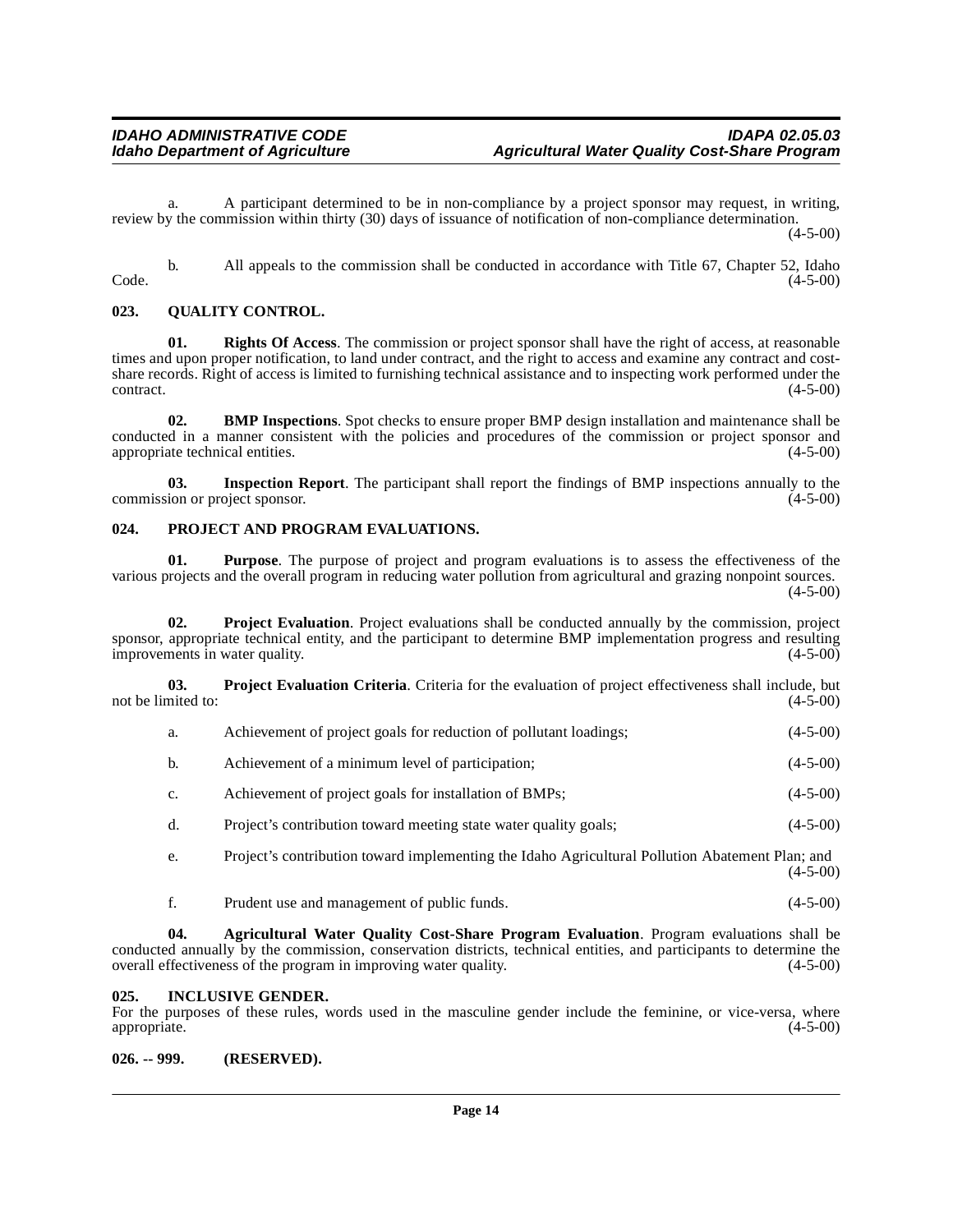a. A participant determined to be in non-compliance by a project sponsor may request, in writing, review by the commission within thirty (30) days of issuance of notification of non-compliance determination.

(4-5-00)

b. All appeals to the commission shall be conducted in accordance with Title 67, Chapter 52, Idaho (4-5-00)  $\text{Code.}$  (4-5-00)

### <span id="page-13-7"></span><span id="page-13-0"></span>**023. QUALITY CONTROL.**

**01. Rights Of Access**. The commission or project sponsor shall have the right of access, at reasonable times and upon proper notification, to land under contract, and the right to access and examine any contract and costshare records. Right of access is limited to furnishing technical assistance and to inspecting work performed under the  $\frac{4-5-00}{2}$ 

**02. BMP Inspections**. Spot checks to ensure proper BMP design installation and maintenance shall be conducted in a manner consistent with the policies and procedures of the commission or project sponsor and appropriate technical entities. (4-5-00) appropriate technical entities.

**03.** Inspection Report. The participant shall report the findings of BMP inspections annually to the ion or project sponsor. (4-5-00) commission or project sponsor.

### <span id="page-13-5"></span><span id="page-13-1"></span>**024. PROJECT AND PROGRAM EVALUATIONS.**

**01. Purpose**. The purpose of project and program evaluations is to assess the effectiveness of the various projects and the overall program in reducing water pollution from agricultural and grazing nonpoint sources.  $(4-5-00)$ 

**02. Project Evaluation**. Project evaluations shall be conducted annually by the commission, project sponsor, appropriate technical entity, and the participant to determine BMP implementation progress and resulting improvements in water quality. (4-5-00) improvements in water quality.

**03. Project Evaluation Criteria**. Criteria for the evaluation of project effectiveness shall include, but not be limited to:  $(4-5-00)$ 

<span id="page-13-6"></span>

| Achievement of project goals for reduction of pollutant loadings; | $(4-5-00)$ |
|-------------------------------------------------------------------|------------|
|                                                                   |            |

- b. Achievement of a minimum level of participation; (4-5-00)
- c. Achievement of project goals for installation of BMPs; (4-5-00)
- d. Project's contribution toward meeting state water quality goals; (4-5-00)

e. Project's contribution toward implementing the Idaho Agricultural Pollution Abatement Plan; and (4-5-00)

<span id="page-13-4"></span>f. Prudent use and management of public funds. (4-5-00)

**04. Agricultural Water Quality Cost-Share Program Evaluation**. Program evaluations shall be conducted annually by the commission, conservation districts, technical entities, and participants to determine the overall effectiveness of the program in improving water quality. (4-5-00) overall effectiveness of the program in improving water quality.

### <span id="page-13-2"></span>**025. INCLUSIVE GENDER.**

For the purposes of these rules, words used in the masculine gender include the feminine, or vice-versa, where appropriate. (4-5-00) appropriate. (4-5-00)

### <span id="page-13-3"></span>**026. -- 999. (RESERVED).**